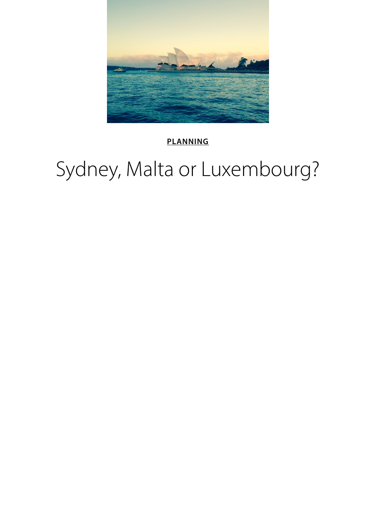

#### **PLANNING**

## Sydney, Malta or Luxembourg?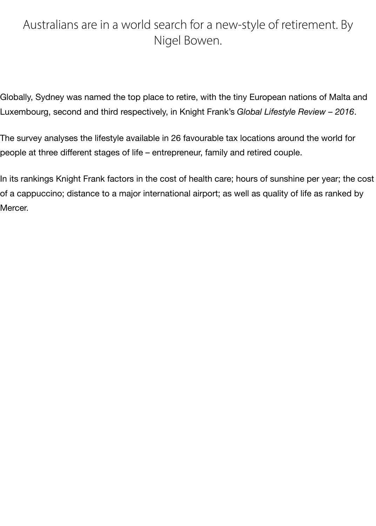#### Australians are in a world search for a new-style of retirement. By Nigel Bowen.

Globally, Sydney was named the top place to retire, with the tiny European nations of Malta and Luxembourg, second and third respectively, in Knight Frank's *Global Lifestyle Review – 2016*.

The survey analyses the lifestyle available in 26 favourable tax locations around the world for people at three different stages of life – entrepreneur, family and retired couple.

In its rankings Knight Frank factors in the cost of health care; hours of sunshine per year; the cost of a cappuccino; distance to a major international airport; as well as quality of life as ranked by Mercer.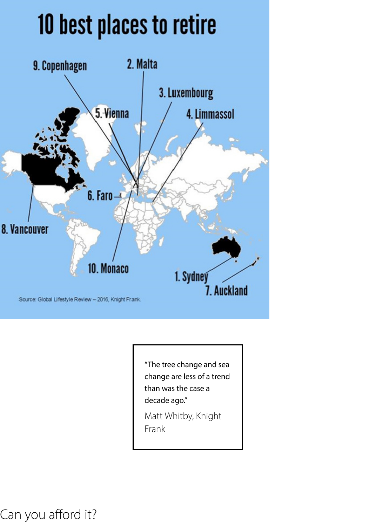# 10 best places to retire



"The tree change and sea change are less of a trend than was the case a decade ago."

Matt Whitby, Knight Frank

Can you afford it?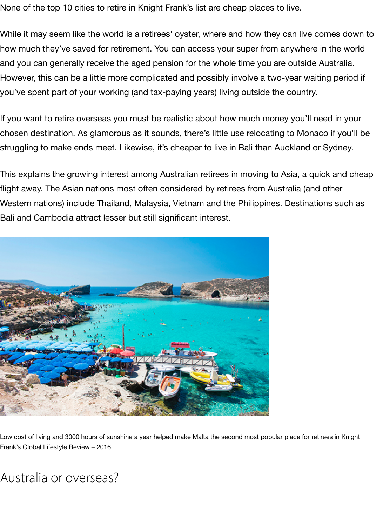None of the top 10 cities to retire in Knight Frank's list are cheap places to live.

While it may seem like the world is a retirees' oyster, where and how they can live comes down to how much they've saved for retirement. You can access your super from anywhere in the world and you can generally receive the aged pension for the whole time you are outside Australia. However, this can be a little more complicated and possibly involve a two-year waiting period if you've spent part of your working (and tax-paying years) living outside the country.

If you want to retire overseas you must be realistic about how much money you'll need in your chosen destination. As glamorous as it sounds, there's little use relocating to Monaco if you'll be struggling to make ends meet. Likewise, it's cheaper to live in Bali than Auckland or Sydney.

This explains the growing interest among Australian retirees in moving to Asia, a quick and cheap flight away. The Asian nations most often considered by retirees from Australia (and other Western nations) include Thailand, Malaysia, Vietnam and the Philippines. Destinations such as Bali and Cambodia attract lesser but still significant interest.



Low cost of living and 3000 hours of sunshine a year helped make Malta the second most popular place for retirees in Knight Frank's Global Lifestyle Review – 2016.

Australia or overseas?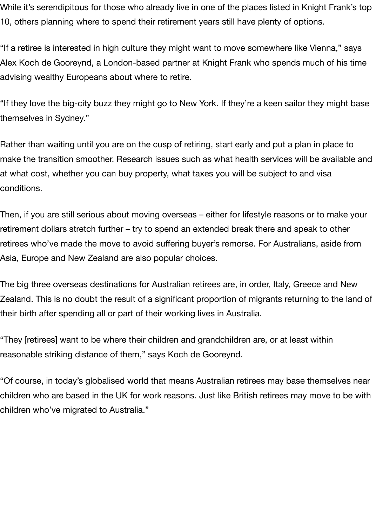While it's serendipitous for those who already live in one of the places listed in Knight Frank's top 10, others planning where to spend their retirement years still have plenty of options.

"If a retiree is interested in high culture they might want to move somewhere like Vienna," says Alex Koch de Gooreynd, a London-based partner at Knight Frank who spends much of his time advising wealthy Europeans about where to retire.

"If they love the big-city buzz they might go to New York. If they're a keen sailor they might base themselves in Sydney."

Rather than waiting until you are on the cusp of retiring, start early and put a plan in place to make the transition smoother. Research issues such as what health services will be available and at what cost, whether you can buy property, what taxes you will be subject to and visa conditions.

Then, if you are still serious about moving overseas – either for lifestyle reasons or to make your retirement dollars stretch further – try to spend an extended break there and speak to other retirees who've made the move to avoid suffering buyer's remorse. For Australians, aside from Asia, Europe and New Zealand are also popular choices.

The big three overseas destinations for Australian retirees are, in order, Italy, Greece and New Zealand. This is no doubt the result of a significant proportion of migrants returning to the land of their birth after spending all or part of their working lives in Australia.

"They [retirees] want to be where their children and grandchildren are, or at least within reasonable striking distance of them," says Koch de Gooreynd.

"Of course, in today's globalised world that means Australian retirees may base themselves near children who are based in the UK for work reasons. Just like British retirees may move to be with children who've migrated to Australia."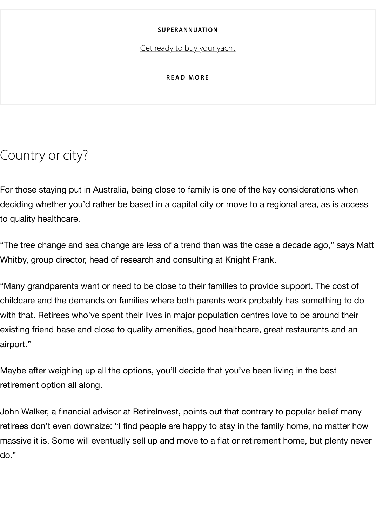### Country or city?

For those staying put in Australia, being [close to family is o](https://growinsights.anz.com/superannuation/get-ready-to-buy-your-yacht)ne of the key consideration deciding whether you'd rather be based in a capital city or move to a regional area, as to quality healthcare.

"The tree change and sea change are less of a trend than was the case a decade ago, Whitby, group director, head of research and consulting at Knight Frank.

"Many grandparents want or need to be close to their families to provide support. The childcare and the demands on families where both parents work probably has someth with that. Retirees who've spent their lives in major population centres love to be arou existing friend base and close to quality amenities, good healthcare, great restaurants airport."

Maybe after weighing up all the options, you'll decide that you've been living in the be retirement option all along.

John Walker, a financial advisor at RetireInvest, points out that contrary to popular bel retirees don't even downsize: "I find people are happy to stay in the family home, no n massive it is. Some will eventually sell up and move to a flat or retirement home, but p do."